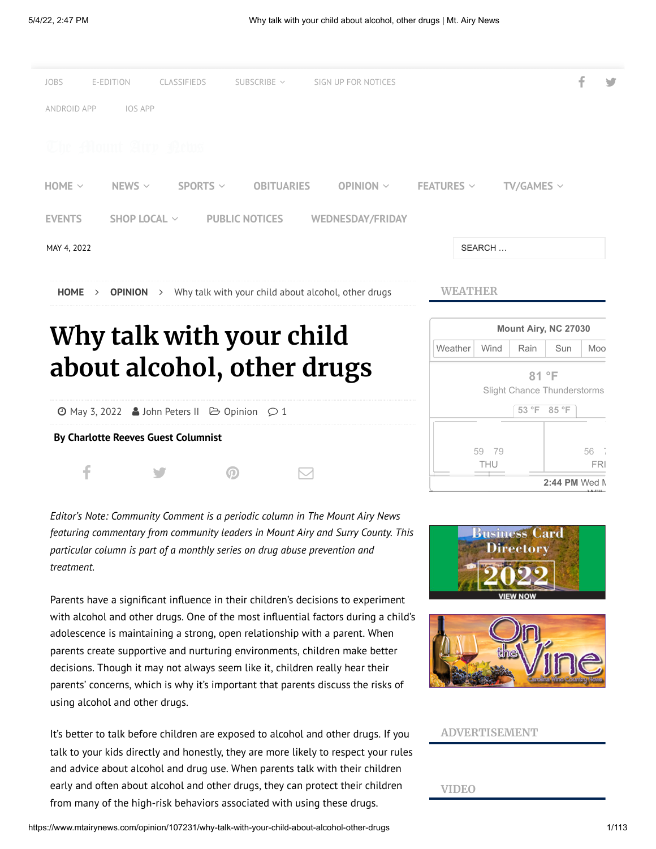

*Editor's Note: Community Comment is a periodic column in The Mount Airy News featuring commentary from community leaders in Mount Airy and Surry County. This particular column is part of a monthly series on drug abuse prevention and treatment.*

Parents have a significant influence in their children's decisions to experiment with alcohol and other drugs. One of the most influential factors during a child's adolescence is maintaining a strong, open relationship with a parent. When parents create supportive and nurturing environments, children make better decisions. Though it may not always seem like it, children really hear their parents' concerns, which is why it's important that parents discuss the risks of using alcohol and other drugs.

It's better to talk before children are exposed to alcohol and other drugs. If you talk to your kids directly and honestly, they are more likely to respect your rules and advice about alcohol and drug use. When parents talk with their children early and often about alcohol and other drugs, they can protect their children from many of the high-risk behaviors associated with using these drugs.



**[2:44 PM](https://mtairynews.com/weather)** Wed M

 $\cdots$ 



## **ADVERTISEMENT**

### **VIDEO**